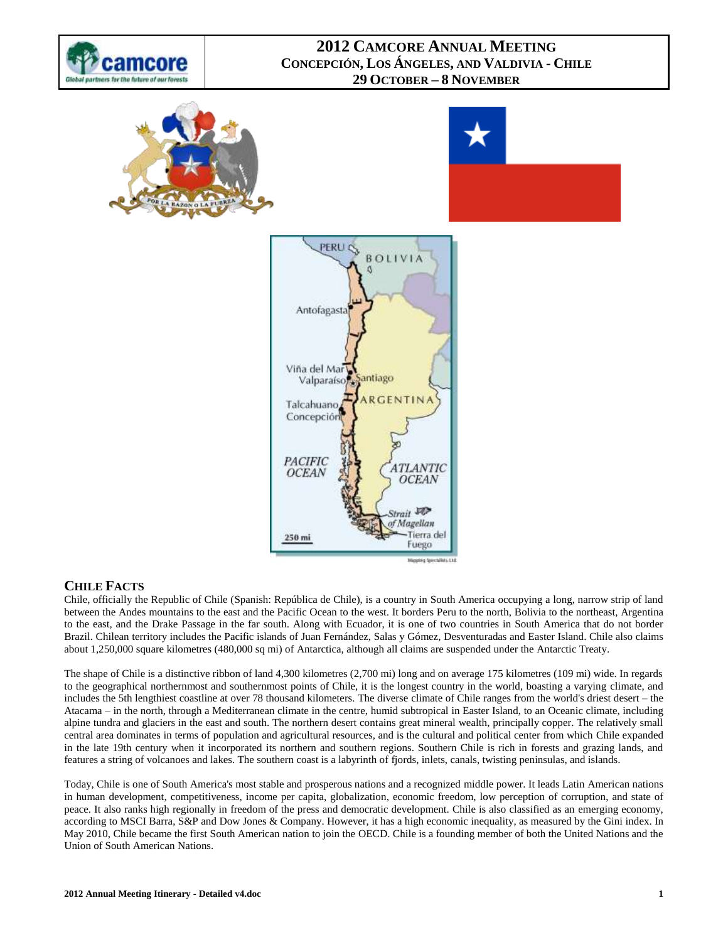







## **CHILE FACTS**

Chile, officially the Republic of Chile [\(Spanish:](http://en.wikipedia.org/wiki/Spanish_language) República de Chile), is a country in [South America](http://en.wikipedia.org/wiki/South_America) occupying a long, narrow strip of land between the [Andes](http://en.wikipedia.org/wiki/Andes) mountains to the east and the [Pacific Ocean](http://en.wikipedia.org/wiki/Pacific_Ocean) to the west. It borders [Peru](http://en.wikipedia.org/wiki/Peru) to the north[, Bolivia](http://en.wikipedia.org/wiki/Bolivia) to the northeast, [Argentina](http://en.wikipedia.org/wiki/Argentina) to the east, and the [Drake Passage](http://en.wikipedia.org/wiki/Drake_Passage) in the far south. Along with [Ecuador,](http://en.wikipedia.org/wiki/Ecuador) it is one of two countries in South America that do not border [Brazil.](http://en.wikipedia.org/wiki/Brazil) Chilean territory includes the Pacific islands of [Juan Fernández,](http://en.wikipedia.org/wiki/Juan_Fern%C3%A1ndez_Islands) [Salas y Gómez,](http://en.wikipedia.org/wiki/Salas_y_G%C3%B3mez) [Desventuradas](http://en.wikipedia.org/wiki/Desventuradas_Islands) and [Easter Island.](http://en.wikipedia.org/wiki/Easter_Island) Chile also claims about 1,250,000 square kilometres (480,000 sq mi) of [Antarctica,](http://en.wikipedia.org/wiki/Antarctica) although all claims are suspended under th[e Antarctic Treaty.](http://en.wikipedia.org/wiki/Antarctic_Treaty)

The shape of Chile is a distinctive ribbon of land 4,300 kilometres (2,700 mi) long and on average 175 kilometres (109 mi) wide. In regards to the geographical northernmost and southernmost points of Chile, it is the longest country in the world, boasting a varying climate, and includes the 5th lengthiest coastline at over 78 thousand kilometers. The diverse [climate of Chile](http://en.wikipedia.org/wiki/Climate_of_Chile) ranges from the world's driest desert – the [Atacama](http://en.wikipedia.org/wiki/Atacama) – in the north, through [a Mediterranean climate](http://en.wikipedia.org/wiki/Mediterranean_climate) in the centre, [humid subtropical](http://en.wikipedia.org/wiki/Humid_subtropical) in Easter Island, to an [Oceanic climate,](http://en.wikipedia.org/wiki/Oceanic_climate) including alpine tundra and glaciers in the east and south. The northern desert contains great mineral wealth, principally copper. The relatively small central area dominates in terms of population and agricultural resources, and is the cultural and political center from which Chile expanded in the late 19th century when it incorporated its northern and southern regions. Southern Chile is rich in forests and grazing lands, and features a string o[f volcanoes](http://en.wikipedia.org/wiki/Volcano) and lakes. The southern coast is a labyrinth of [fjords, inlets, canals,](http://en.wikipedia.org/wiki/Fjords_and_channels_of_Chile) twisting peninsulas, and islands.

Today, Chile is one of South America's most stable and prosperous nations and a recognized [middle power.](http://en.wikipedia.org/wiki/Middle_power) It leads Latin American nations in [human development,](http://en.wikipedia.org/wiki/Human_development_(humanity)) [competitiveness,](http://en.wikipedia.org/wiki/Competitiveness) [income per capita,](http://en.wikipedia.org/wiki/Income_per_capita) [globalization,](http://en.wikipedia.org/wiki/Globalization) [economic freedom,](http://en.wikipedia.org/wiki/Economic_freedom) [low perception of corruption,](http://en.wikipedia.org/wiki/Political_corruption) and state of peace. It also ranks high regionally in [freedom of the press](http://en.wikipedia.org/wiki/Freedom_of_the_press) and democratic development. Chile is also classified as an [emerging economy,](http://en.wikipedia.org/wiki/Emerging_market) according to [MSCI Barra,](http://en.wikipedia.org/wiki/MSCI_Barra) [S&P](http://en.wikipedia.org/wiki/Standard_%26_Poor%27s) an[d Dow Jones & Company.](http://en.wikipedia.org/wiki/Dow_Jones_%26_Company) However, it has a high [economic inequality,](http://en.wikipedia.org/wiki/Economic_inequality) as measured by th[e Gini index.](http://en.wikipedia.org/wiki/Gini_index) In May 2010, Chile became the first South American nation to join the [OECD.](http://en.wikipedia.org/wiki/Organisation_for_Economic_Co-operation_and_Development) Chile is a founding member of both the United Nations and the [Union of South American Nations.](http://en.wikipedia.org/wiki/Union_of_South_American_Nations)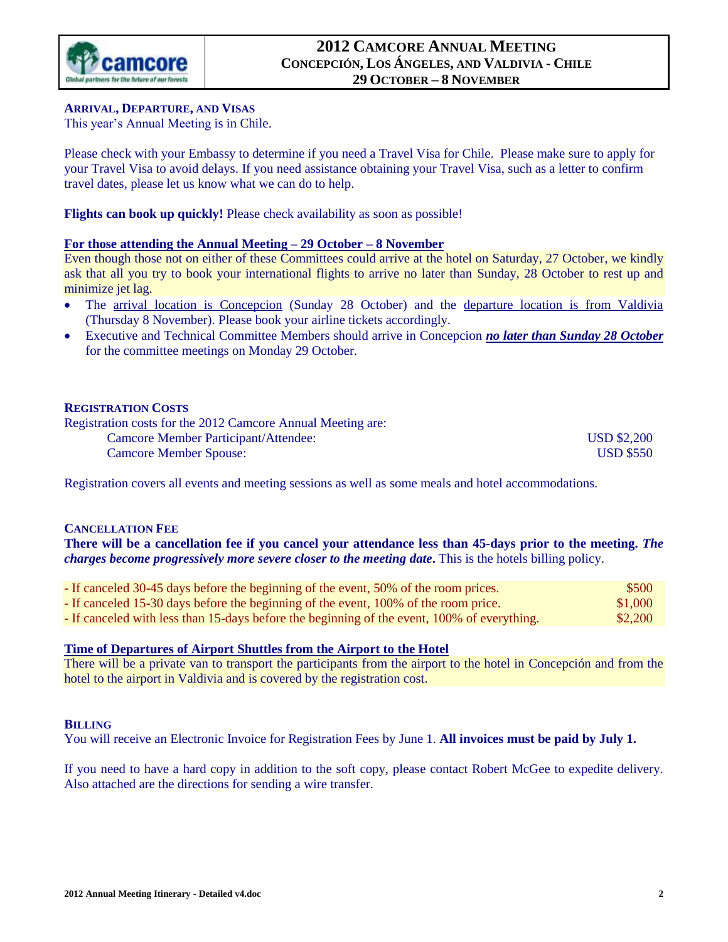

### **ARRIVAL, DEPARTURE, AND VISAS**

This year's Annual Meeting is in Chile.

Please check with your Embassy to determine if you need a Travel Visa for Chile. Please make sure to apply for your Travel Visa to avoid delays. If you need assistance obtaining your Travel Visa, such as a letter to confirm travel dates, please let us know what we can do to help.

**Flights can book up quickly!** Please check availability as soon as possible!

### **For those attending the Annual Meeting – 29 October – 8 November**

Even though those not on either of these Committees could arrive at the hotel on Saturday, 27 October, we kindly ask that all you try to book your international flights to arrive no later than Sunday, 28 October to rest up and minimize jet lag.

- The arrival location is Concepcion (Sunday 28 October) and the departure location is from Valdivia (Thursday 8 November). Please book your airline tickets accordingly.
- Executive and Technical Committee Members should arrive in Concepcion *no later than Sunday 28 October* for the committee meetings on Monday 29 October.

### **REGISTRATION COSTS**

| Registration costs for the 2012 Camcore Annual Meeting are: |                    |
|-------------------------------------------------------------|--------------------|
| Camcore Member Participant/Attendee:                        | <b>USD \$2,200</b> |
| <b>Camcore Member Spouse:</b>                               | <b>USD \$550</b>   |

Registration covers all events and meeting sessions as well as some meals and hotel accommodations.

### **CANCELLATION FEE**

**There will be a cancellation fee if you cancel your attendance less than 45-days prior to the meeting.** *The charges become progressively more severe closer to the meeting date***.** This is the hotels billing policy.

- If canceled 30-45 days before the beginning of the event, 50% of the room prices. \$500 - If canceled 15-30 days before the beginning of the event, 100% of the room price. \$1,000 - If canceled with less than 15-days before the beginning of the event, 100% of everything. \$2,200

### **Time of Departures of Airport Shuttles from the Airport to the Hotel**

There will be a private van to transport the participants from the airport to the hotel in Concepción and from the hotel to the airport in Valdivia and is covered by the registration cost.

### **BILLING**

You will receive an Electronic Invoice for Registration Fees by June 1. **All invoices must be paid by July 1.**

If you need to have a hard copy in addition to the soft copy, please contact Robert McGee to expedite delivery. Also attached are the directions for sending a wire transfer.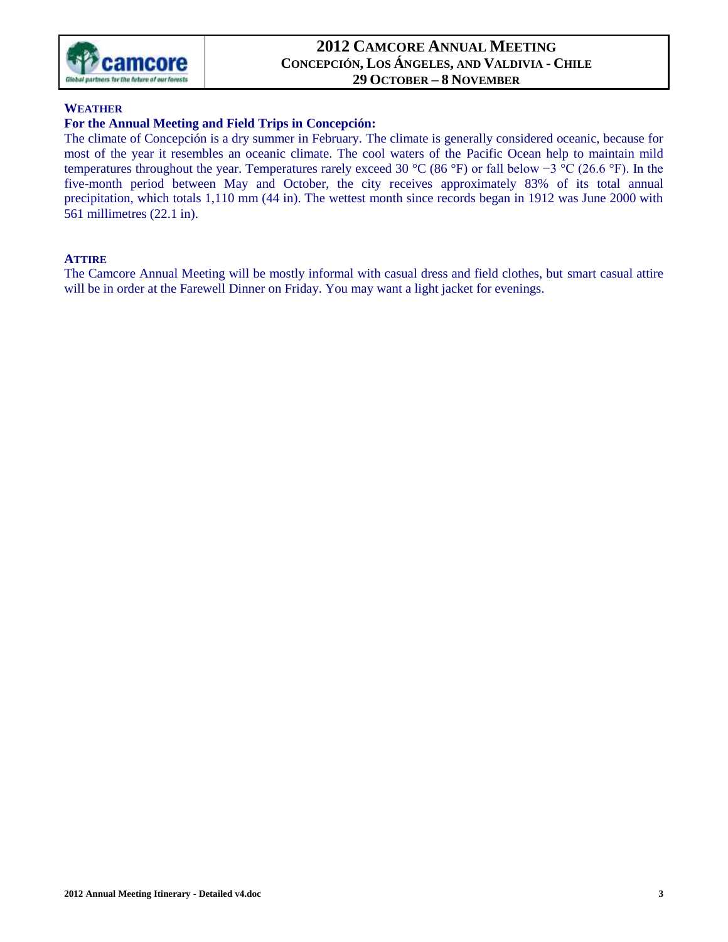

### **WEATHER**

### **For the Annual Meeting and Field Trips in Concepción:**

The climate of Concepción is a dry summer in February. The climate is generally considered [oceanic,](http://en.wikipedia.org/wiki/Oceanic_climate) because for most of the year it resembles an oceanic climate. The cool waters of the Pacific Ocean help to maintain mild temperatures throughout the year. Temperatures rarely exceed 30 °C (86 °F) or fall below −3 °C (26.6 °F). In the five-month period between May and October, the city receives approximately 83% of its total annual precipitation, which totals 1,110 mm (44 in). The wettest month since records began in 1912 was June 2000 with 561 millimetres (22.1 in).

### **ATTIRE**

The Camcore Annual Meeting will be mostly informal with casual dress and field clothes, but smart casual attire will be in order at the Farewell Dinner on Friday. You may want a light jacket for evenings.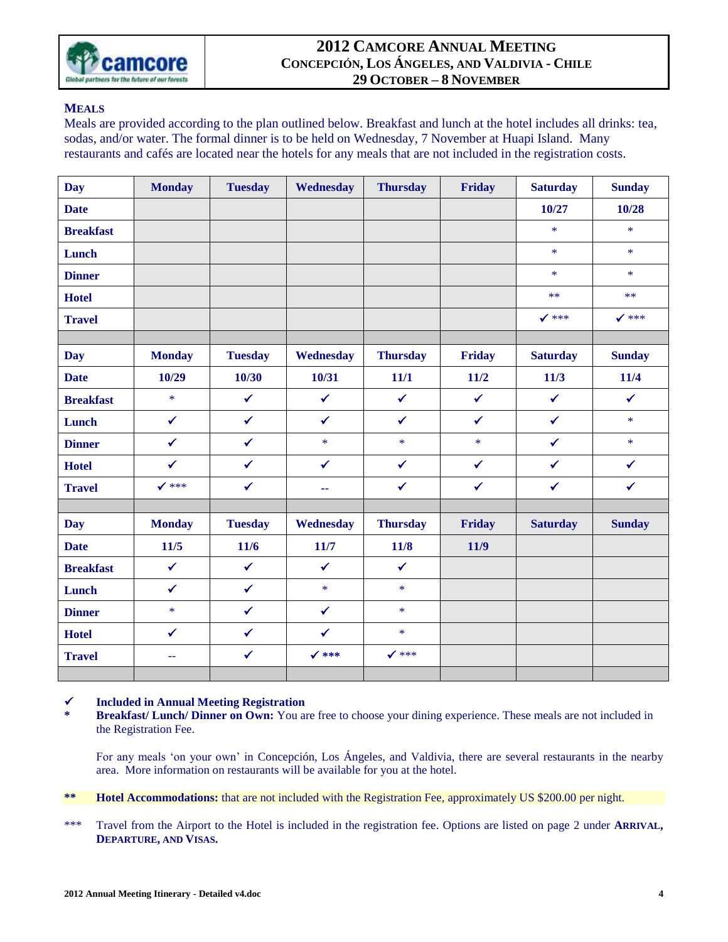

### **MEALS**

Meals are provided according to the plan outlined below. Breakfast and lunch at the hotel includes all drinks: tea, sodas, and/or water. The formal dinner is to be held on Wednesday, 7 November at Huapi Island. Many restaurants and cafés are located near the hotels for any meals that are not included in the registration costs.

| <b>Day</b>       | <b>Monday</b>    | <b>Tuesday</b> | Wednesday        | <b>Thursday</b>  | Friday       | <b>Saturday</b>  | <b>Sunday</b> |
|------------------|------------------|----------------|------------------|------------------|--------------|------------------|---------------|
| <b>Date</b>      |                  |                |                  |                  |              | 10/27            | 10/28         |
| <b>Breakfast</b> |                  |                |                  |                  |              | $\ast$           | $\ast$        |
| Lunch            |                  |                |                  |                  |              | $\ast$           | $\ast$        |
| <b>Dinner</b>    |                  |                |                  |                  |              | $\ast$           | $\ast$        |
| <b>Hotel</b>     |                  |                |                  |                  |              | $***$            | $***$         |
| <b>Travel</b>    |                  |                |                  |                  |              | $\checkmark$ *** | $\sqrt$ ***   |
|                  |                  |                |                  |                  |              |                  |               |
| <b>Day</b>       | <b>Monday</b>    | <b>Tuesday</b> | Wednesday        | <b>Thursday</b>  | Friday       | <b>Saturday</b>  | <b>Sunday</b> |
| <b>Date</b>      | 10/29            | 10/30          | 10/31            | 11/1             | 11/2         | 11/3             | 11/4          |
| <b>Breakfast</b> | $\ast$           | $\checkmark$   | $\checkmark$     | $\checkmark$     | $\checkmark$ | $\checkmark$     | $\checkmark$  |
| Lunch            | $\checkmark$     | $\checkmark$   | $\checkmark$     | $\checkmark$     | $\checkmark$ | $\checkmark$     | $\ast$        |
| <b>Dinner</b>    | $\checkmark$     | $\checkmark$   | $\ast$           | $\ast$           | $\ast$       | $\checkmark$     | $\ast$        |
| <b>Hotel</b>     | $\checkmark$     | $\checkmark$   | $\checkmark$     | $\checkmark$     | $\checkmark$ | $\checkmark$     | $\checkmark$  |
| <b>Travel</b>    | $\checkmark$ *** | $\checkmark$   | 44               | $\checkmark$     | $\checkmark$ | $\checkmark$     | $\checkmark$  |
|                  |                  |                |                  |                  |              |                  |               |
| <b>Day</b>       | <b>Monday</b>    | <b>Tuesday</b> | Wednesday        | <b>Thursday</b>  | Friday       | <b>Saturday</b>  | <b>Sunday</b> |
| <b>Date</b>      | 11/5             | 11/6           | 11/7             | 11/8             | 11/9         |                  |               |
| <b>Breakfast</b> | $\checkmark$     | $\checkmark$   | $\checkmark$     | $\checkmark$     |              |                  |               |
| Lunch            | $\checkmark$     | $\checkmark$   | $\ast$           | $\ast$           |              |                  |               |
| <b>Dinner</b>    | $\ast$           | $\checkmark$   | $\checkmark$     | $\ast$           |              |                  |               |
| <b>Hotel</b>     | $\checkmark$     | $\checkmark$   | $\checkmark$     | $\ast$           |              |                  |               |
| <b>Travel</b>    | $\mathbf{u}$     | $\checkmark$   | $\checkmark$ *** | $\checkmark$ *** |              |                  |               |
|                  |                  |                |                  |                  |              |                  |               |

### **Included in Annual Meeting Registration**

**\* Breakfast/ Lunch/ Dinner on Own:** You are free to choose your dining experience. These meals are not included in the Registration Fee.

For any meals 'on your own' in Concepción, Los Ángeles, and Valdivia, there are several restaurants in the nearby area. More information on restaurants will be available for you at the hotel.

- **\*\* Hotel Accommodations:** that are not included with the Registration Fee, approximately US \$200.00 per night.
- \*\*\* Travel from the Airport to the Hotel is included in the registration fee. Options are listed on page 2 under **ARRIVAL, DEPARTURE, AND VISAS.**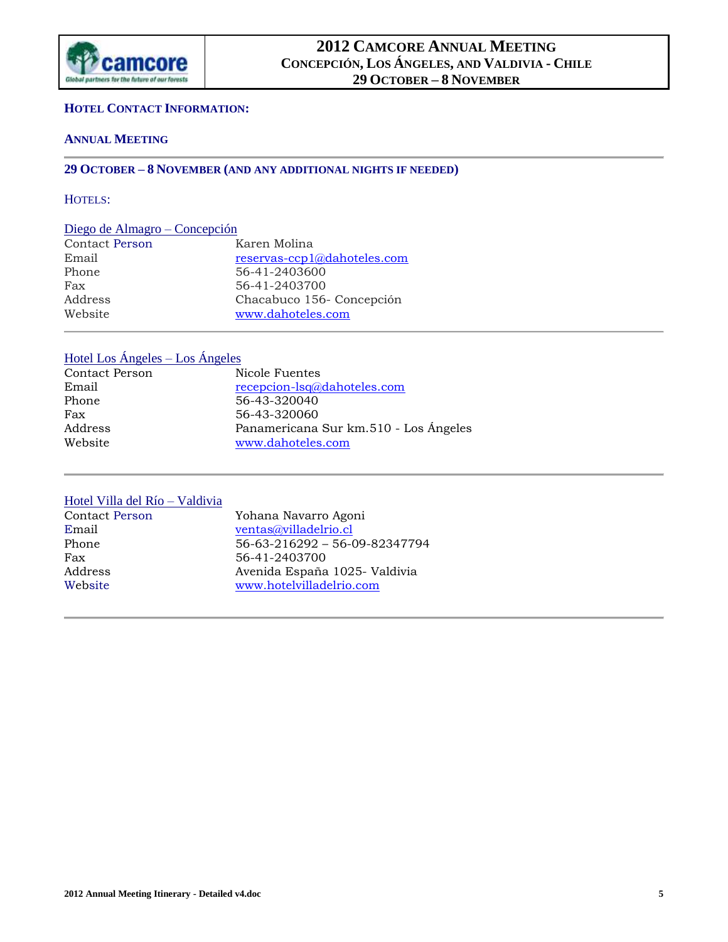

#### **HOTEL CONTACT INFORMATION:**

### **ANNUAL MEETING**

### **29 OCTOBER – 8 NOVEMBER (AND ANY ADDITIONAL NIGHTS IF NEEDED)**

### HOTELS:

### Diego de Almagro – Concepción

| Karen Molina                |
|-----------------------------|
| reservas-ccp1@dahoteles.com |
| 56-41-2403600               |
| 56-41-2403700               |
| Chacabuco 156- Concepción   |
| www.dahoteles.com           |
|                             |

## Hotel Los Ángeles – Los Ángeles

| Contact Person | Nicole Fuentes                        |
|----------------|---------------------------------------|
| Email          | recepcion-lsq@dahoteles.com           |
| Phone          | 56-43-320040                          |
| Fax            | 56-43-320060                          |
| Address        | Panamericana Sur km.510 - Los Ángeles |
| Website        | www.dahoteles.com                     |

#### Hotel Villa del Río – Valdivia

| <b>Contact Person</b> | Yohana Navarro Agoni          |
|-----------------------|-------------------------------|
| Email                 | ventas@villadelrio.cl         |
| Phone                 | 56-63-216292 - 56-09-82347794 |
| Fax                   | 56-41-2403700                 |
| Address               | Avenida España 1025- Valdivia |
| Website               | www.hotelvilladelrio.com      |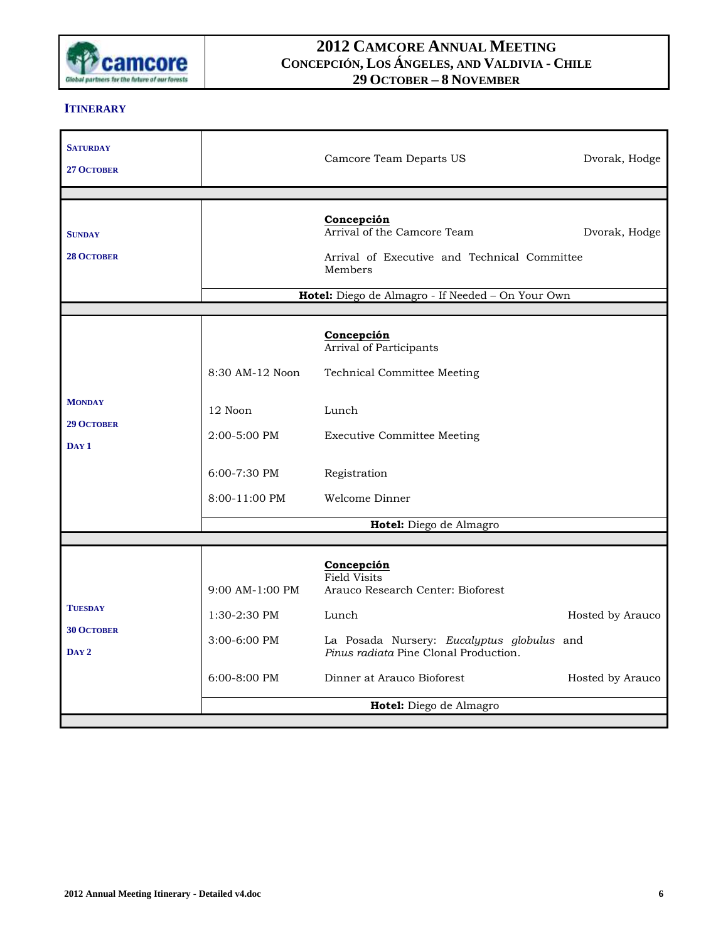

### **ITINERARY**

| <b>SATURDAY</b><br>27 OCTOBER                           |                                                                                 | Camcore Team Departs US                                                                                                                                                                                                  | Dvorak, Hodge                        |
|---------------------------------------------------------|---------------------------------------------------------------------------------|--------------------------------------------------------------------------------------------------------------------------------------------------------------------------------------------------------------------------|--------------------------------------|
| <b>SUNDAY</b><br><b>28 OCTOBER</b>                      |                                                                                 | Concepción<br>Arrival of the Camcore Team<br>Arrival of Executive and Technical Committee<br>Members<br>Hotel: Diego de Almagro - If Needed - On Your Own                                                                | Dvorak, Hodge                        |
| <b>MONDAY</b><br><b>29 OCTOBER</b><br>DAY <sub>1</sub>  | 8:30 AM-12 Noon<br>12 Noon<br>2:00-5:00 PM<br>$6:00 - 7:30$ PM<br>8:00-11:00 PM | Concepción<br>Arrival of Participants<br><b>Technical Committee Meeting</b><br>Lunch<br><b>Executive Committee Meeting</b><br>Registration<br>Welcome Dinner<br>Hotel: Diego de Almagro                                  |                                      |
|                                                         |                                                                                 |                                                                                                                                                                                                                          |                                      |
| <b>TUESDAY</b><br><b>30 OCTOBER</b><br>DAY <sub>2</sub> | $9:00$ AM-1:00 PM<br>1:30-2:30 PM<br>3:00-6:00 PM<br>6:00-8:00 PM               | Concepción<br>Field Visits<br>Arauco Research Center: Bioforest<br>Lunch<br>La Posada Nursery: Eucalyptus globulus and<br>Pinus radiata Pine Clonal Production.<br>Dinner at Arauco Bioforest<br>Hotel: Diego de Almagro | Hosted by Arauco<br>Hosted by Arauco |
|                                                         |                                                                                 |                                                                                                                                                                                                                          |                                      |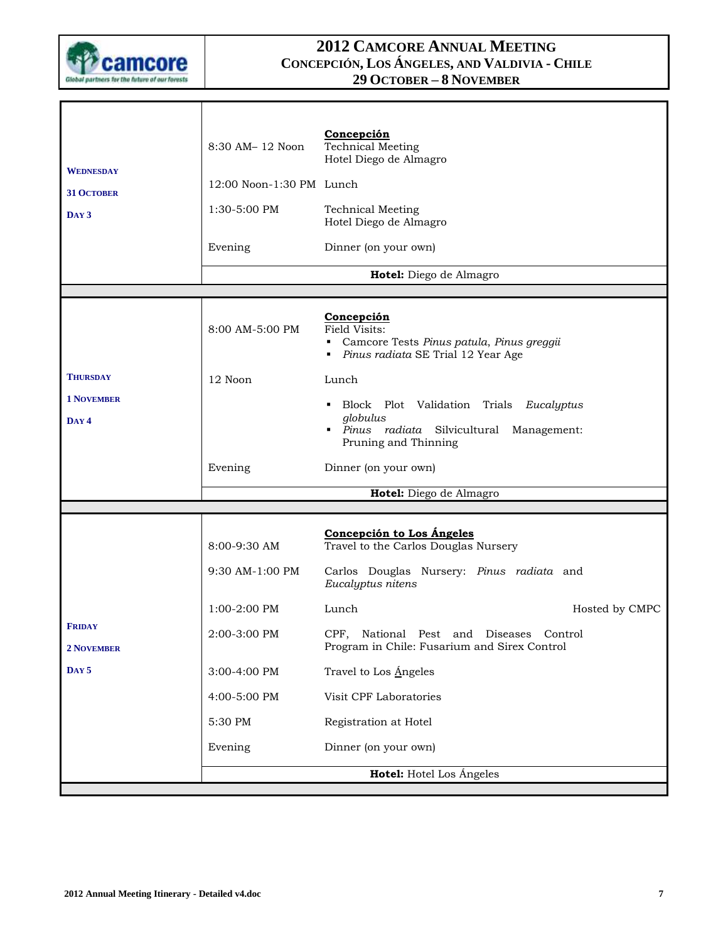

| <b>WEDNESDAY</b>                   | 8:30 AM-12 Noon          | Concepción<br>Technical Meeting<br>Hotel Diego de Almagro                                                           |
|------------------------------------|--------------------------|---------------------------------------------------------------------------------------------------------------------|
| <b>31 OCTOBER</b>                  | 12:00 Noon-1:30 PM Lunch |                                                                                                                     |
| $Day3$                             | 1:30-5:00 PM             | <b>Technical Meeting</b><br>Hotel Diego de Almagro                                                                  |
|                                    | Evening                  | Dinner (on your own)                                                                                                |
|                                    |                          | Hotel: Diego de Almagro                                                                                             |
|                                    |                          |                                                                                                                     |
|                                    | 8:00 AM-5:00 PM          | Concepción<br>Field Visits:<br>Camcore Tests Pinus patula, Pinus greggii<br>Pinus radiata SE Trial 12 Year Age<br>٠ |
| <b>THURSDAY</b>                    | 12 Noon                  | Lunch                                                                                                               |
| <b>1 NOVEMBER</b>                  |                          | • Block Plot Validation Trials Eucalyptus                                                                           |
| DAY 4                              |                          | globulus<br>· Pinus radiata Silvicultural Management:<br>Pruning and Thinning                                       |
|                                    | Evening                  | Dinner (on your own)                                                                                                |
|                                    |                          | Hotel: Diego de Almagro                                                                                             |
|                                    |                          |                                                                                                                     |
|                                    | 8:00-9:30 AM             | Concepción to Los Ángeles<br>Travel to the Carlos Douglas Nursery                                                   |
|                                    | 9:30 AM-1:00 PM          | Carlos Douglas Nursery: Pinus radiata and<br>Eucalyptus nitens                                                      |
|                                    | $1:00-2:00$ PM           | Lunch<br>Hosted by CMPC                                                                                             |
| <b>FRIDAY</b><br><b>2 NOVEMBER</b> | 2:00-3:00 PM             | CPF, National Pest and Diseases Control<br>Program in Chile: Fusarium and Sirex Control                             |
| DAY <sub>5</sub>                   | 3:00-4:00 PM             | Travel to Los Angeles                                                                                               |
|                                    | 4:00-5:00 PM             | Visit CPF Laboratories                                                                                              |
|                                    | 5:30 PM                  | Registration at Hotel                                                                                               |
|                                    | Evening                  | Dinner (on your own)                                                                                                |
|                                    |                          | Hotel: Hotel Los Ángeles                                                                                            |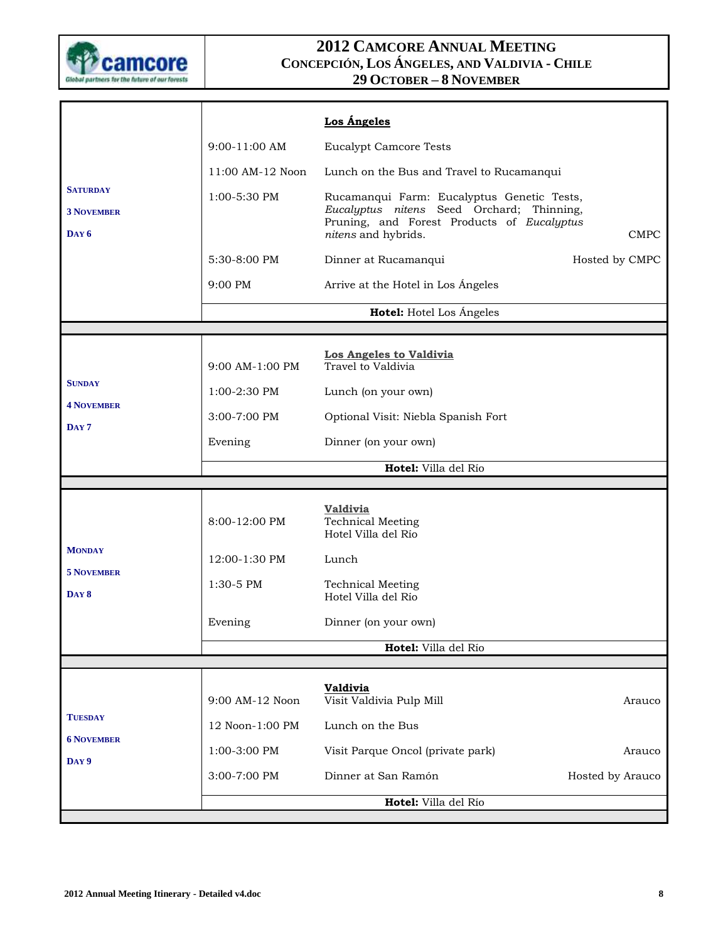

|                                                     |                  | Los Ángeles                                                                                                                                                  |                  |
|-----------------------------------------------------|------------------|--------------------------------------------------------------------------------------------------------------------------------------------------------------|------------------|
|                                                     | 9:00-11:00 AM    | <b>Eucalypt Camcore Tests</b>                                                                                                                                |                  |
|                                                     | 11:00 AM-12 Noon | Lunch on the Bus and Travel to Rucamanqui                                                                                                                    |                  |
| <b>SATURDAY</b><br><b>3 NOVEMBER</b><br>$\bf{DAY6}$ | 1:00-5:30 PM     | Rucamanqui Farm: Eucalyptus Genetic Tests,<br>Eucalyptus nitens Seed Orchard; Thinning,<br>Pruning, and Forest Products of Eucalyptus<br>nitens and hybrids. | <b>CMPC</b>      |
|                                                     | 5:30-8:00 PM     | Dinner at Rucamanqui                                                                                                                                         | Hosted by CMPC   |
|                                                     | 9:00 PM          | Arrive at the Hotel in Los Ángeles                                                                                                                           |                  |
|                                                     |                  | Hotel: Hotel Los Ángeles                                                                                                                                     |                  |
|                                                     |                  |                                                                                                                                                              |                  |
|                                                     | 9:00 AM-1:00 PM  | Los Angeles to Valdivia<br>Travel to Valdivia                                                                                                                |                  |
| <b>SUNDAY</b>                                       | 1:00-2:30 PM     | Lunch (on your own)                                                                                                                                          |                  |
| <b>4 NOVEMBER</b>                                   | 3:00-7:00 PM     | Optional Visit: Niebla Spanish Fort                                                                                                                          |                  |
| DAY <sub>7</sub>                                    | Evening          | Dinner (on your own)                                                                                                                                         |                  |
|                                                     |                  | Hotel: Villa del Río                                                                                                                                         |                  |
|                                                     |                  |                                                                                                                                                              |                  |
|                                                     | 8:00-12:00 PM    | <b>Valdivia</b><br><b>Technical Meeting</b><br>Hotel Villa del Río                                                                                           |                  |
| <b>MONDAY</b>                                       | 12:00-1:30 PM    | Lunch                                                                                                                                                        |                  |
| <b>5 NOVEMBER</b><br>DAY 8                          | 1:30-5 PM        | <b>Technical Meeting</b><br>Hotel Villa del Río                                                                                                              |                  |
|                                                     | Evening          | Dinner (on your own)                                                                                                                                         |                  |
|                                                     |                  | Hotel: Villa del Río                                                                                                                                         |                  |
|                                                     |                  |                                                                                                                                                              |                  |
|                                                     | 9:00 AM-12 Noon  | <b>Valdivia</b><br>Visit Valdivia Pulp Mill                                                                                                                  | Arauco           |
| <b>TUESDAY</b>                                      | 12 Noon-1:00 PM  | Lunch on the Bus                                                                                                                                             |                  |
| <b>6 NOVEMBER</b><br>DAY 9                          | 1:00-3:00 PM     | Visit Parque Oncol (private park)                                                                                                                            | Arauco           |
|                                                     | 3:00-7:00 PM     | Dinner at San Ramón                                                                                                                                          | Hosted by Arauco |
|                                                     |                  | Hotel: Villa del Río                                                                                                                                         |                  |
|                                                     |                  |                                                                                                                                                              |                  |